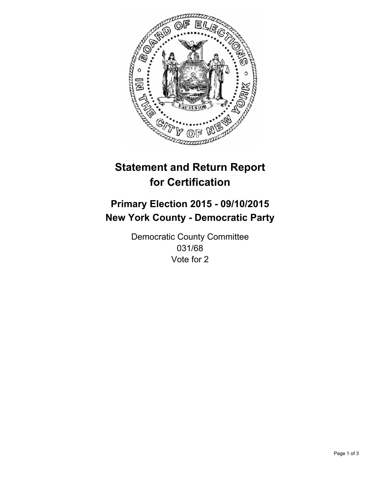

# **Statement and Return Report for Certification**

## **Primary Election 2015 - 09/10/2015 New York County - Democratic Party**

Democratic County Committee 031/68 Vote for 2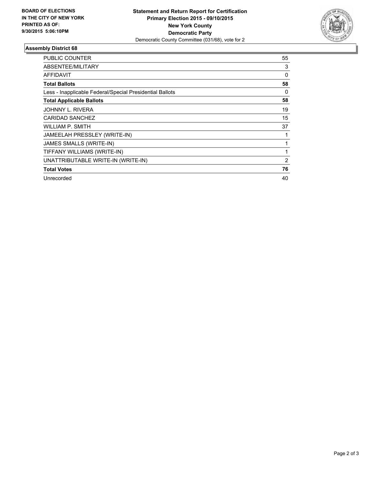

#### **Assembly District 68**

| <b>PUBLIC COUNTER</b>                                    | 55 |
|----------------------------------------------------------|----|
| ABSENTEE/MILITARY                                        | 3  |
| AFFIDAVIT                                                | 0  |
| <b>Total Ballots</b>                                     | 58 |
| Less - Inapplicable Federal/Special Presidential Ballots | 0  |
| <b>Total Applicable Ballots</b>                          | 58 |
| JOHNNY L. RIVERA                                         | 19 |
| <b>CARIDAD SANCHEZ</b>                                   | 15 |
| WILLIAM P. SMITH                                         | 37 |
| JAMEELAH PRESSLEY (WRITE-IN)                             |    |
| JAMES SMALLS (WRITE-IN)                                  |    |
| TIFFANY WILLIAMS (WRITE-IN)                              |    |
| UNATTRIBUTABLE WRITE-IN (WRITE-IN)                       | 2  |
| <b>Total Votes</b>                                       | 76 |
| Unrecorded                                               | 40 |